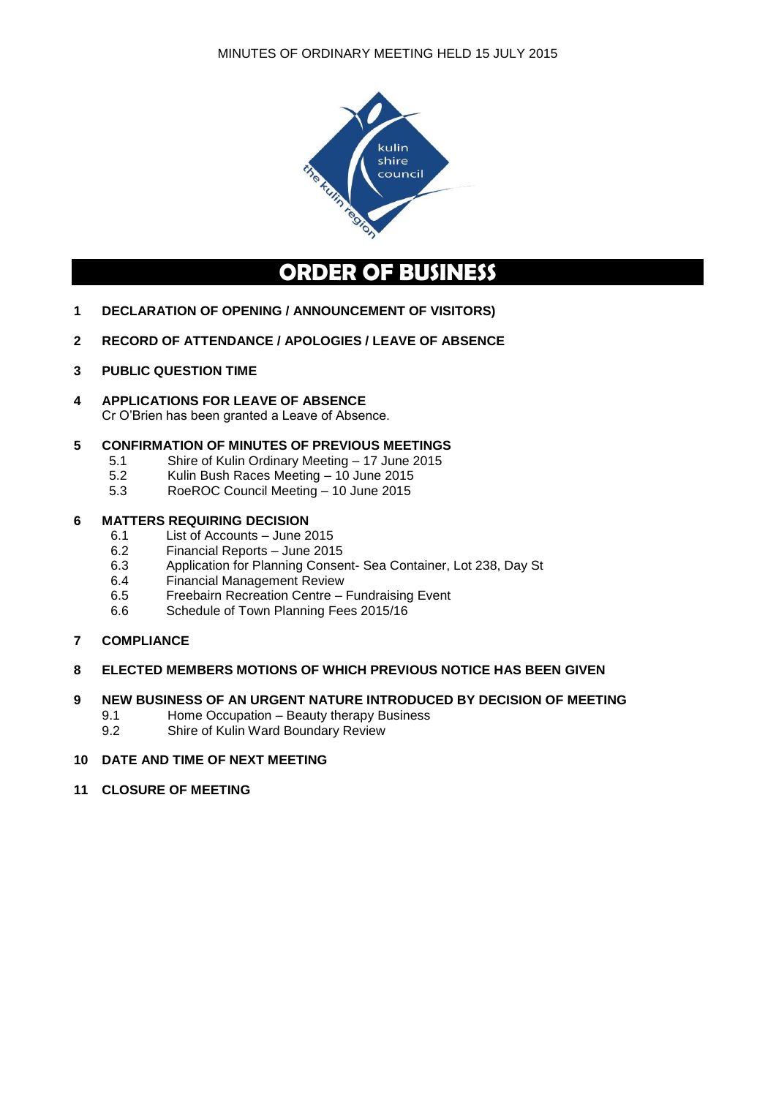

# **ORDER OF BUSINESS**

- **1 DECLARATION OF OPENING / ANNOUNCEMENT OF VISITORS)**
- **2 RECORD OF ATTENDANCE / APOLOGIES / LEAVE OF ABSENCE**
- **3 PUBLIC QUESTION TIME**
- **4 APPLICATIONS FOR LEAVE OF ABSENCE** Cr O'Brien has been granted a Leave of Absence.

## **5 CONFIRMATION OF MINUTES OF PREVIOUS MEETINGS**

- 5.1 Shire of Kulin Ordinary Meeting 17 June 2015
- 5.2 Kulin Bush Races Meeting 10 June 2015
- 5.3 RoeROC Council Meeting 10 June 2015

# **6 MATTERS REQUIRING DECISION**<br>6.1 **List of Accounts – June 2**

- List of Accounts June 2015
- 6.2 Financial Reports June 2015<br>6.3 Application for Planning Conse
- Application for Planning Consent- Sea Container, Lot 238, Day St
- 6.4 Financial Management Review
- 6.5 Freebairn Recreation Centre Fundraising Event
- 6.6 Schedule of Town Planning Fees 2015/16
- **7 COMPLIANCE**

## **8 ELECTED MEMBERS MOTIONS OF WHICH PREVIOUS NOTICE HAS BEEN GIVEN**

#### **9 NEW BUSINESS OF AN URGENT NATURE INTRODUCED BY DECISION OF MEETING**

- 9.1 Home Occupation Beauty therapy Business
- 9.2 Shire of Kulin Ward Boundary Review

#### **10 DATE AND TIME OF NEXT MEETING**

**11 CLOSURE OF MEETING**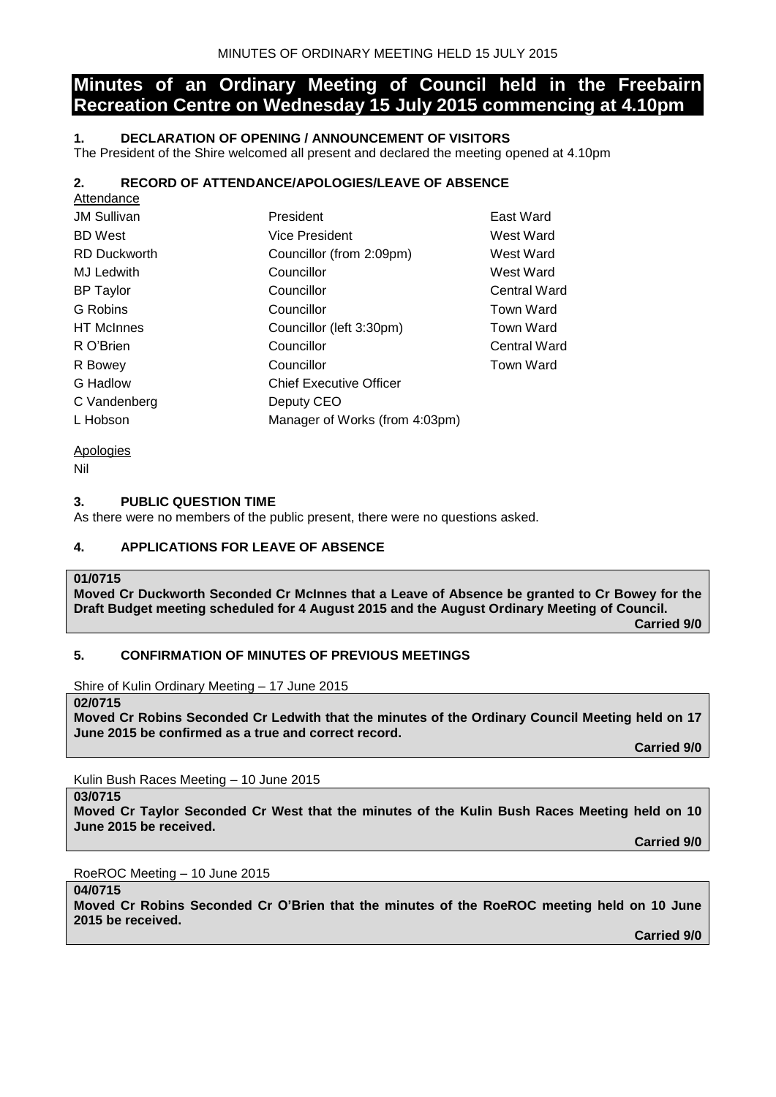## **Minutes of an Ordinary Meeting of Council held in the Freebairn Recreation Centre on Wednesday 15 July 2015 commencing at 4.10pm**

## **1. DECLARATION OF OPENING / ANNOUNCEMENT OF VISITORS**

The President of the Shire welcomed all present and declared the meeting opened at 4.10pm

## **2. RECORD OF ATTENDANCE/APOLOGIES/LEAVE OF ABSENCE**

| Attendance          |                                |                     |
|---------------------|--------------------------------|---------------------|
| <b>JM Sullivan</b>  | President                      | East Ward           |
| <b>BD</b> West      | <b>Vice President</b>          | West Ward           |
| <b>RD Duckworth</b> | Councillor (from 2:09pm)       | West Ward           |
| <b>MJ Ledwith</b>   | Councillor                     | West Ward           |
| <b>BP</b> Taylor    | Councillor                     | <b>Central Ward</b> |
| G Robins            | Councillor                     | <b>Town Ward</b>    |
| <b>HT</b> McInnes   | Councillor (left 3:30pm)       | Town Ward           |
| R O'Brien           | Councillor                     | <b>Central Ward</b> |
| R Bowey             | Councillor                     | <b>Town Ward</b>    |
| G Hadlow            | <b>Chief Executive Officer</b> |                     |
| C Vandenberg        | Deputy CEO                     |                     |
| L Hobson            | Manager of Works (from 4:03pm) |                     |
|                     |                                |                     |

Apologies

Nil

#### **3. PUBLIC QUESTION TIME**

As there were no members of the public present, there were no questions asked.

## **4. APPLICATIONS FOR LEAVE OF ABSENCE**

#### **01/0715**

**Moved Cr Duckworth Seconded Cr McInnes that a Leave of Absence be granted to Cr Bowey for the Draft Budget meeting scheduled for 4 August 2015 and the August Ordinary Meeting of Council.**

**Carried 9/0**

## **5. CONFIRMATION OF MINUTES OF PREVIOUS MEETINGS**

Shire of Kulin Ordinary Meeting – 17 June 2015

**02/0715**

**Moved Cr Robins Seconded Cr Ledwith that the minutes of the Ordinary Council Meeting held on 17 June 2015 be confirmed as a true and correct record.**

**Carried 9/0**

Kulin Bush Races Meeting – 10 June 2015

**03/0715 Moved Cr Taylor Seconded Cr West that the minutes of the Kulin Bush Races Meeting held on 10 June 2015 be received.**

**Carried 9/0**

RoeROC Meeting – 10 June 2015

**04/0715**

**Moved Cr Robins Seconded Cr O'Brien that the minutes of the RoeROC meeting held on 10 June 2015 be received.**

**Carried 9/0**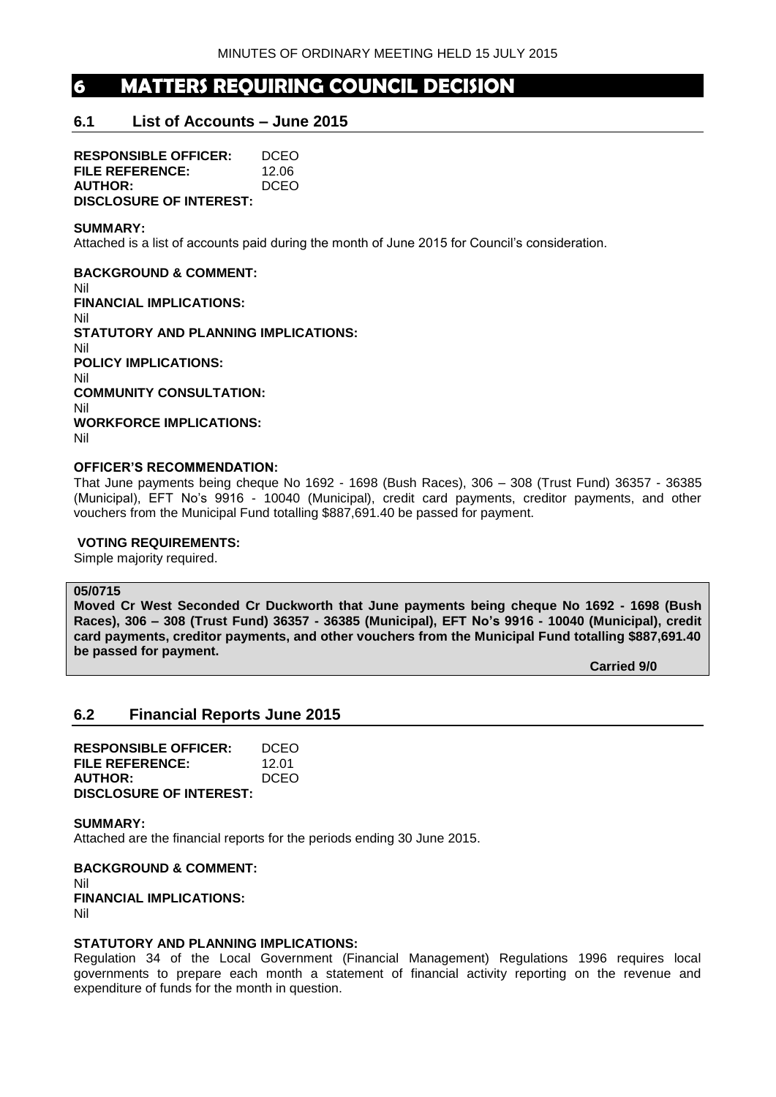## **6 MATTERS REQUIRING COUNCIL DECISION**

## **6.1 List of Accounts – June 2015**

**RESPONSIBLE OFFICER:** DCEO **FILE REFERENCE:** 12.06 **AUTHOR:** DCEO **DISCLOSURE OF INTEREST:**

#### **SUMMARY:**

Attached is a list of accounts paid during the month of June 2015 for Council's consideration.

**BACKGROUND & COMMENT:** Nil **FINANCIAL IMPLICATIONS:** Nil **STATUTORY AND PLANNING IMPLICATIONS:**  Nil **POLICY IMPLICATIONS:** Nil **COMMUNITY CONSULTATION:** Nil **WORKFORCE IMPLICATIONS:** Nil

#### **OFFICER'S RECOMMENDATION:**

That June payments being cheque No 1692 - 1698 (Bush Races), 306 – 308 (Trust Fund) 36357 - 36385 (Municipal), EFT No's 9916 - 10040 (Municipal), credit card payments, creditor payments, and other vouchers from the Municipal Fund totalling \$887,691.40 be passed for payment.

#### **VOTING REQUIREMENTS:**

Simple majority required.

#### **05/0715**

**Moved Cr West Seconded Cr Duckworth that June payments being cheque No 1692 - 1698 (Bush Races), 306 – 308 (Trust Fund) 36357 - 36385 (Municipal), EFT No's 9916 - 10040 (Municipal), credit card payments, creditor payments, and other vouchers from the Municipal Fund totalling \$887,691.40 be passed for payment.**

**Carried 9/0**

## **6.2 Financial Reports June 2015**

| <b>RESPONSIBLE OFFICER:</b>    | DCEO  |
|--------------------------------|-------|
| FILE REFERENCE:                | 12.01 |
| <b>AUTHOR:</b>                 | DCEO  |
| <b>DISCLOSURE OF INTEREST:</b> |       |

#### **SUMMARY:**

Attached are the financial reports for the periods ending 30 June 2015.

**BACKGROUND & COMMENT:** Nil **FINANCIAL IMPLICATIONS:** Nil

#### **STATUTORY AND PLANNING IMPLICATIONS:**

Regulation 34 of the Local Government (Financial Management) Regulations 1996 requires local governments to prepare each month a statement of financial activity reporting on the revenue and expenditure of funds for the month in question.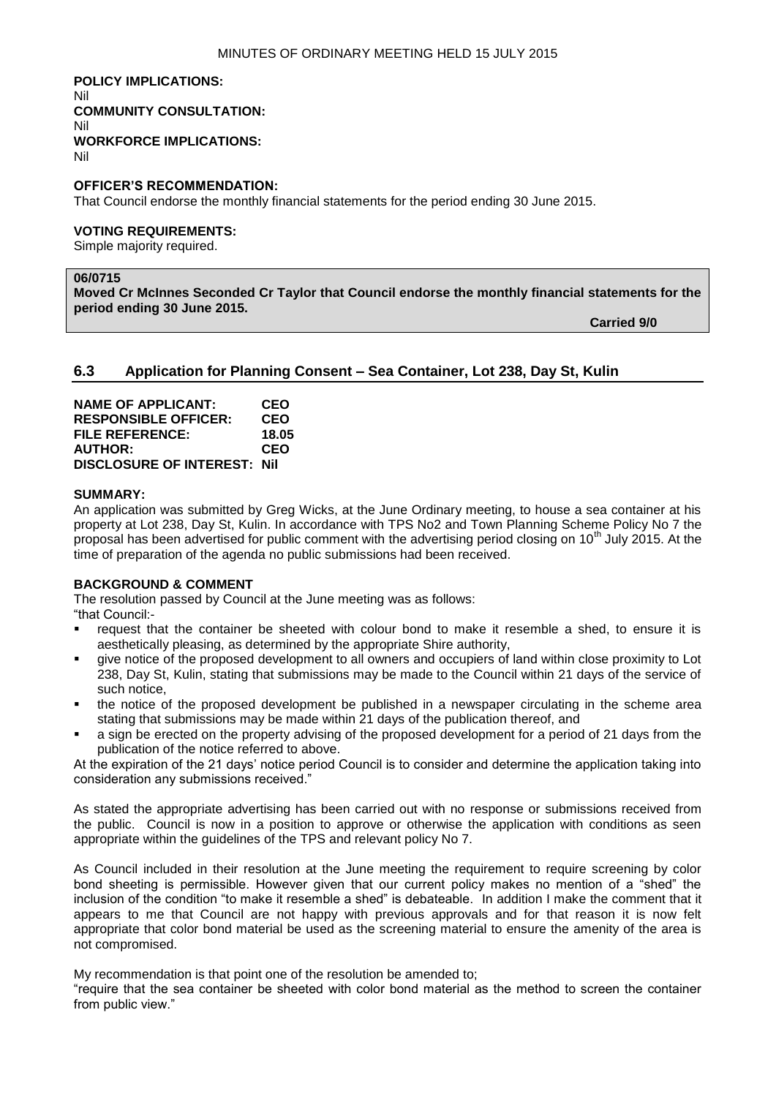**POLICY IMPLICATIONS:** Nil **COMMUNITY CONSULTATION:** Nil **WORKFORCE IMPLICATIONS:** Nil

#### **OFFICER'S RECOMMENDATION:**

That Council endorse the monthly financial statements for the period ending 30 June 2015.

#### **VOTING REQUIREMENTS:**

Simple majority required.

## **06/0715**

**Moved Cr McInnes Seconded Cr Taylor that Council endorse the monthly financial statements for the period ending 30 June 2015.**

**Carried 9/0**

## **6.3 Application for Planning Consent – Sea Container, Lot 238, Day St, Kulin**

| <b>NAME OF APPLICANT:</b>          | CEO        |
|------------------------------------|------------|
| <b>RESPONSIBLE OFFICER:</b>        | CEO        |
| <b>FILE REFERENCE:</b>             | 18.05      |
| <b>AUTHOR:</b>                     | <b>CEO</b> |
| <b>DISCLOSURE OF INTEREST: Nil</b> |            |

#### **SUMMARY:**

An application was submitted by Greg Wicks, at the June Ordinary meeting, to house a sea container at his property at Lot 238, Day St, Kulin. In accordance with TPS No2 and Town Planning Scheme Policy No 7 the proposal has been advertised for public comment with the advertising period closing on 10<sup>th</sup> July 2015. At the time of preparation of the agenda no public submissions had been received.

#### **BACKGROUND & COMMENT**

The resolution passed by Council at the June meeting was as follows:

"that Council:-

- request that the container be sheeted with colour bond to make it resemble a shed, to ensure it is aesthetically pleasing, as determined by the appropriate Shire authority,
- give notice of the proposed development to all owners and occupiers of land within close proximity to Lot 238, Day St, Kulin, stating that submissions may be made to the Council within 21 days of the service of such notice,
- the notice of the proposed development be published in a newspaper circulating in the scheme area stating that submissions may be made within 21 days of the publication thereof, and
- a sign be erected on the property advising of the proposed development for a period of 21 days from the publication of the notice referred to above.

At the expiration of the 21 days' notice period Council is to consider and determine the application taking into consideration any submissions received."

As stated the appropriate advertising has been carried out with no response or submissions received from the public. Council is now in a position to approve or otherwise the application with conditions as seen appropriate within the guidelines of the TPS and relevant policy No 7.

As Council included in their resolution at the June meeting the requirement to require screening by color bond sheeting is permissible. However given that our current policy makes no mention of a "shed" the inclusion of the condition "to make it resemble a shed" is debateable. In addition I make the comment that it appears to me that Council are not happy with previous approvals and for that reason it is now felt appropriate that color bond material be used as the screening material to ensure the amenity of the area is not compromised.

My recommendation is that point one of the resolution be amended to;

"require that the sea container be sheeted with color bond material as the method to screen the container from public view."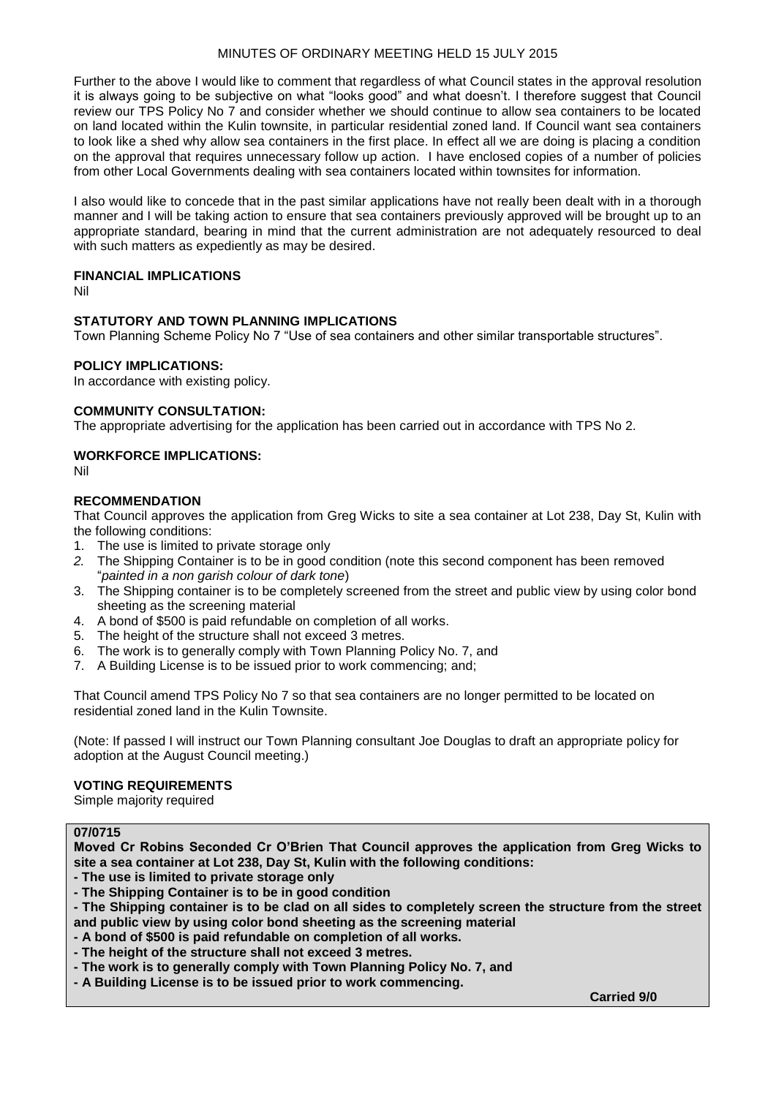Further to the above I would like to comment that regardless of what Council states in the approval resolution it is always going to be subjective on what "looks good" and what doesn't. I therefore suggest that Council review our TPS Policy No 7 and consider whether we should continue to allow sea containers to be located on land located within the Kulin townsite, in particular residential zoned land. If Council want sea containers to look like a shed why allow sea containers in the first place. In effect all we are doing is placing a condition on the approval that requires unnecessary follow up action. I have enclosed copies of a number of policies from other Local Governments dealing with sea containers located within townsites for information.

I also would like to concede that in the past similar applications have not really been dealt with in a thorough manner and I will be taking action to ensure that sea containers previously approved will be brought up to an appropriate standard, bearing in mind that the current administration are not adequately resourced to deal with such matters as expediently as may be desired.

#### **FINANCIAL IMPLICATIONS**

Nil

## **STATUTORY AND TOWN PLANNING IMPLICATIONS**

Town Planning Scheme Policy No 7 "Use of sea containers and other similar transportable structures".

#### **POLICY IMPLICATIONS:**

In accordance with existing policy.

#### **COMMUNITY CONSULTATION:**

The appropriate advertising for the application has been carried out in accordance with TPS No 2.

#### **WORKFORCE IMPLICATIONS:**

Nil

#### **RECOMMENDATION**

That Council approves the application from Greg Wicks to site a sea container at Lot 238, Day St, Kulin with the following conditions:

- 1. The use is limited to private storage only
- *2.* The Shipping Container is to be in good condition (note this second component has been removed "*painted in a non garish colour of dark tone*)
- 3. The Shipping container is to be completely screened from the street and public view by using color bond sheeting as the screening material
- 4. A bond of \$500 is paid refundable on completion of all works.
- 5. The height of the structure shall not exceed 3 metres.
- 6. The work is to generally comply with Town Planning Policy No. 7, and
- 7. A Building License is to be issued prior to work commencing; and;

That Council amend TPS Policy No 7 so that sea containers are no longer permitted to be located on residential zoned land in the Kulin Townsite.

(Note: If passed I will instruct our Town Planning consultant Joe Douglas to draft an appropriate policy for adoption at the August Council meeting.)

#### **VOTING REQUIREMENTS**

Simple majority required

## **07/0715**

**Moved Cr Robins Seconded Cr O'Brien That Council approves the application from Greg Wicks to site a sea container at Lot 238, Day St, Kulin with the following conditions:**

**- The use is limited to private storage only**

**- The Shipping Container is to be in good condition**

**- The Shipping container is to be clad on all sides to completely screen the structure from the street and public view by using color bond sheeting as the screening material**

- **- A bond of \$500 is paid refundable on completion of all works.**
- **- The height of the structure shall not exceed 3 metres.**
- **- The work is to generally comply with Town Planning Policy No. 7, and**
- **- A Building License is to be issued prior to work commencing.**

**Carried 9/0**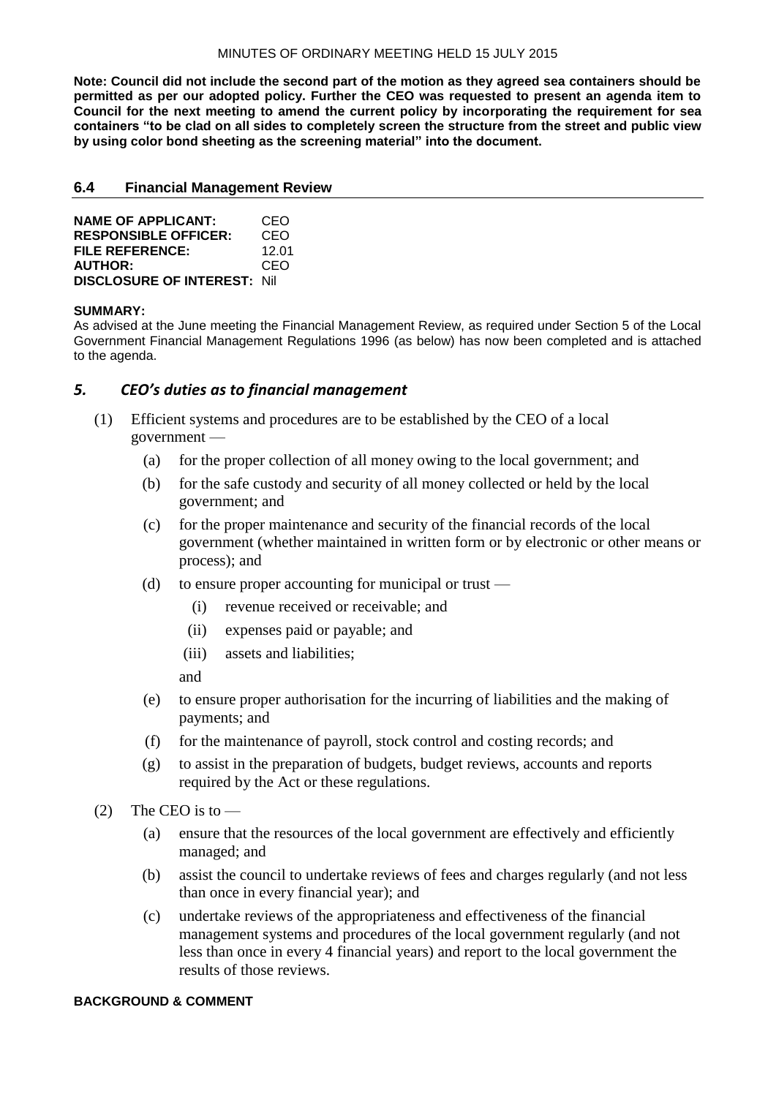**Note: Council did not include the second part of the motion as they agreed sea containers should be permitted as per our adopted policy. Further the CEO was requested to present an agenda item to Council for the next meeting to amend the current policy by incorporating the requirement for sea containers "to be clad on all sides to completely screen the structure from the street and public view by using color bond sheeting as the screening material" into the document.**

### **6.4 Financial Management Review**

| <b>NAME OF APPLICANT:</b>           | CEO   |
|-------------------------------------|-------|
| <b>RESPONSIBLE OFFICER:</b>         | CEO   |
| <b>FILE REFERENCE:</b>              | 12 Q1 |
| <b>AUTHOR:</b>                      | CEO   |
| <b>DISCLOSURE OF INTEREST: Nill</b> |       |

#### **SUMMARY:**

As advised at the June meeting the Financial Management Review, as required under Section 5 of the Local Government Financial Management Regulations 1996 (as below) has now been completed and is attached to the agenda.

## *5. CEO's duties as to financial management*

- (1) Efficient systems and procedures are to be established by the CEO of a local government —
	- (a) for the proper collection of all money owing to the local government; and
	- (b) for the safe custody and security of all money collected or held by the local government; and
	- (c) for the proper maintenance and security of the financial records of the local government (whether maintained in written form or by electronic or other means or process); and
	- (d) to ensure proper accounting for municipal or trust
		- (i) revenue received or receivable; and
		- (ii) expenses paid or payable; and
		- (iii) assets and liabilities;

and

- (e) to ensure proper authorisation for the incurring of liabilities and the making of payments; and
- (f) for the maintenance of payroll, stock control and costing records; and
- (g) to assist in the preparation of budgets, budget reviews, accounts and reports required by the Act or these regulations.
- (2) The CEO is to  $-$ 
	- (a) ensure that the resources of the local government are effectively and efficiently managed; and
	- (b) assist the council to undertake reviews of fees and charges regularly (and not less than once in every financial year); and
	- (c) undertake reviews of the appropriateness and effectiveness of the financial management systems and procedures of the local government regularly (and not less than once in every 4 financial years) and report to the local government the results of those reviews.

#### **BACKGROUND & COMMENT**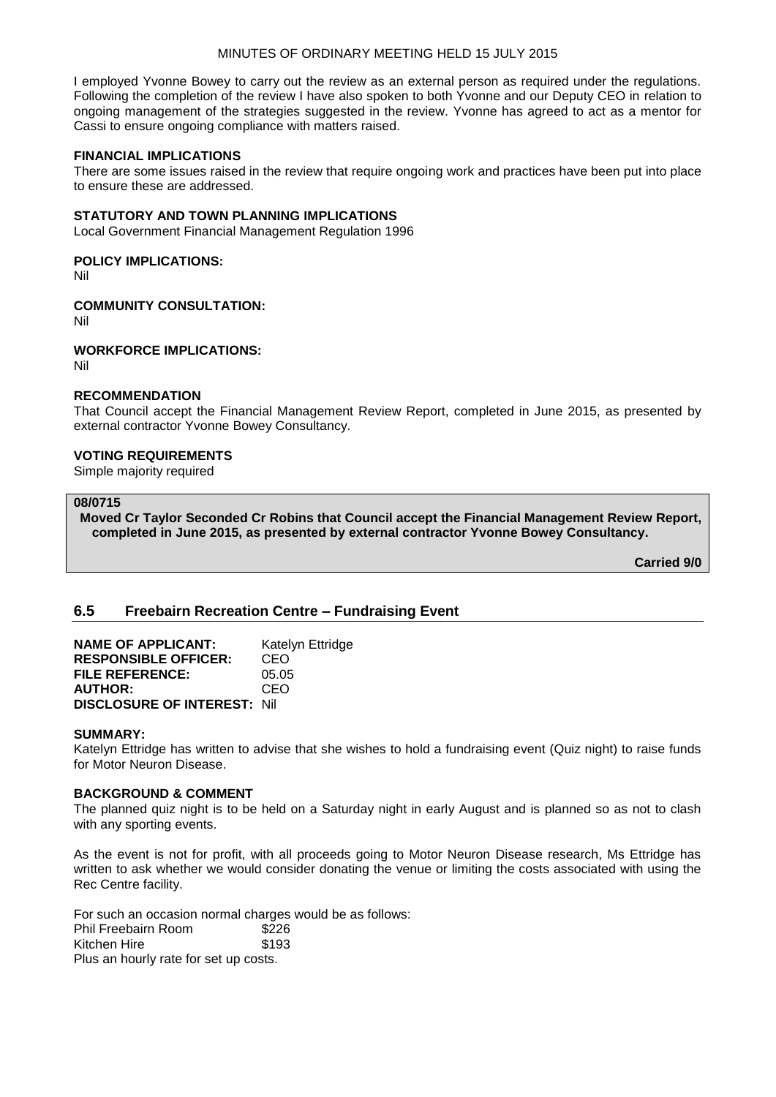I employed Yvonne Bowey to carry out the review as an external person as required under the regulations. Following the completion of the review I have also spoken to both Yvonne and our Deputy CEO in relation to ongoing management of the strategies suggested in the review. Yvonne has agreed to act as a mentor for Cassi to ensure ongoing compliance with matters raised.

#### **FINANCIAL IMPLICATIONS**

There are some issues raised in the review that require ongoing work and practices have been put into place to ensure these are addressed.

#### **STATUTORY AND TOWN PLANNING IMPLICATIONS**

Local Government Financial Management Regulation 1996

#### **POLICY IMPLICATIONS:**

Nil

## **COMMUNITY CONSULTATION:**

Nil

#### **WORKFORCE IMPLICATIONS:**

Nil

### **RECOMMENDATION**

That Council accept the Financial Management Review Report, completed in June 2015, as presented by external contractor Yvonne Bowey Consultancy.

#### **VOTING REQUIREMENTS**

Simple majority required

#### **08/0715**

**Moved Cr Taylor Seconded Cr Robins that Council accept the Financial Management Review Report, completed in June 2015, as presented by external contractor Yvonne Bowey Consultancy.**

**Carried 9/0**

## **6.5 Freebairn Recreation Centre – Fundraising Event**

| <b>NAME OF APPLICANT:</b>           | Katelyn Ettridge |
|-------------------------------------|------------------|
| <b>RESPONSIBLE OFFICER:</b>         | CEO              |
| <b>FILE REFERENCE:</b>              | 05.05            |
| <b>AUTHOR:</b>                      | CEO              |
| <b>DISCLOSURE OF INTEREST: Nill</b> |                  |

#### **SUMMARY:**

Katelyn Ettridge has written to advise that she wishes to hold a fundraising event (Quiz night) to raise funds for Motor Neuron Disease.

#### **BACKGROUND & COMMENT**

The planned quiz night is to be held on a Saturday night in early August and is planned so as not to clash with any sporting events.

As the event is not for profit, with all proceeds going to Motor Neuron Disease research, Ms Ettridge has written to ask whether we would consider donating the venue or limiting the costs associated with using the Rec Centre facility.

For such an occasion normal charges would be as follows: Phil Freebairn Room \$226 Kitchen Hire \$193 Plus an hourly rate for set up costs.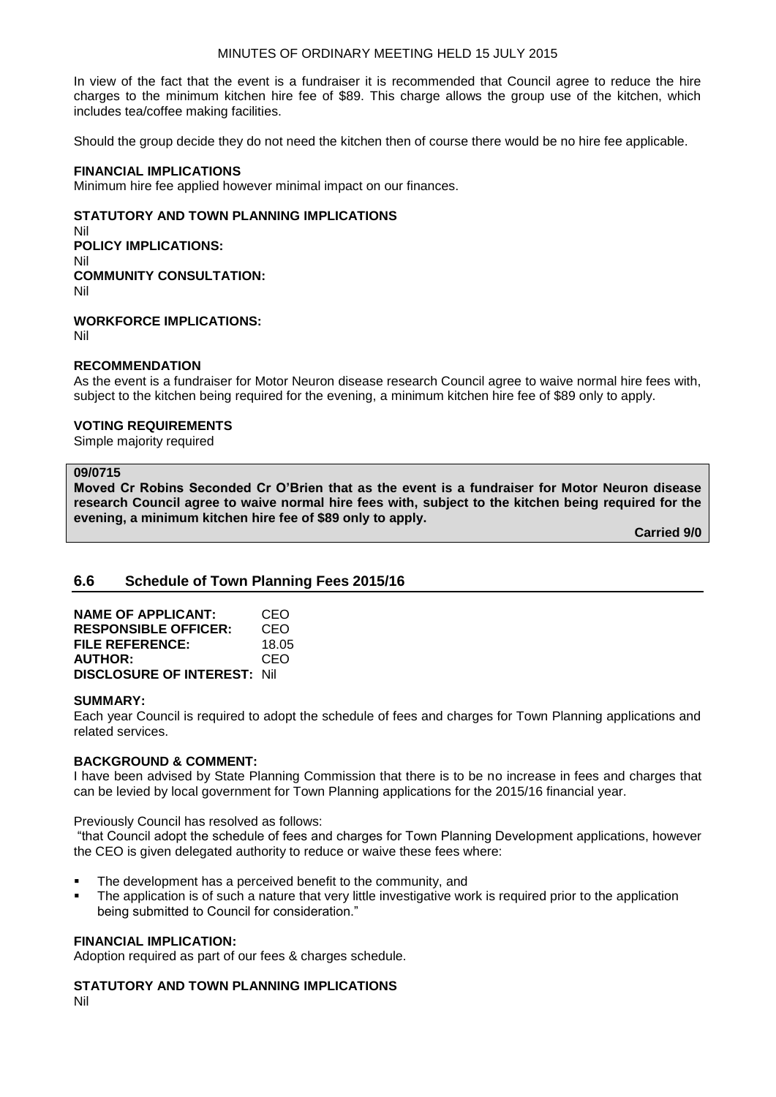In view of the fact that the event is a fundraiser it is recommended that Council agree to reduce the hire charges to the minimum kitchen hire fee of \$89. This charge allows the group use of the kitchen, which includes tea/coffee making facilities.

Should the group decide they do not need the kitchen then of course there would be no hire fee applicable.

## **FINANCIAL IMPLICATIONS**

Minimum hire fee applied however minimal impact on our finances.

### **STATUTORY AND TOWN PLANNING IMPLICATIONS**

Nil **POLICY IMPLICATIONS:** Nil **COMMUNITY CONSULTATION:** Nil

**WORKFORCE IMPLICATIONS:**

Nil

#### **RECOMMENDATION**

As the event is a fundraiser for Motor Neuron disease research Council agree to waive normal hire fees with, subject to the kitchen being required for the evening, a minimum kitchen hire fee of \$89 only to apply.

### **VOTING REQUIREMENTS**

Simple majority required

#### **09/0715**

**Moved Cr Robins Seconded Cr O'Brien that as the event is a fundraiser for Motor Neuron disease research Council agree to waive normal hire fees with, subject to the kitchen being required for the evening, a minimum kitchen hire fee of \$89 only to apply.**

**Carried 9/0**

## **6.6 Schedule of Town Planning Fees 2015/16**

| <b>NAME OF APPLICANT:</b>           | CEO   |
|-------------------------------------|-------|
| <b>RESPONSIBLE OFFICER:</b>         | CEO   |
| FILE REFERENCE:                     | 18.05 |
| <b>AUTHOR:</b>                      | CEO   |
| <b>DISCLOSURE OF INTEREST: Nill</b> |       |

#### **SUMMARY:**

Each year Council is required to adopt the schedule of fees and charges for Town Planning applications and related services.

#### **BACKGROUND & COMMENT:**

I have been advised by State Planning Commission that there is to be no increase in fees and charges that can be levied by local government for Town Planning applications for the 2015/16 financial year.

Previously Council has resolved as follows:

"that Council adopt the schedule of fees and charges for Town Planning Development applications, however the CEO is given delegated authority to reduce or waive these fees where:

- The development has a perceived benefit to the community, and
- The application is of such a nature that very little investigative work is required prior to the application being submitted to Council for consideration."

#### **FINANCIAL IMPLICATION:**

Adoption required as part of our fees & charges schedule.

**STATUTORY AND TOWN PLANNING IMPLICATIONS**

Nil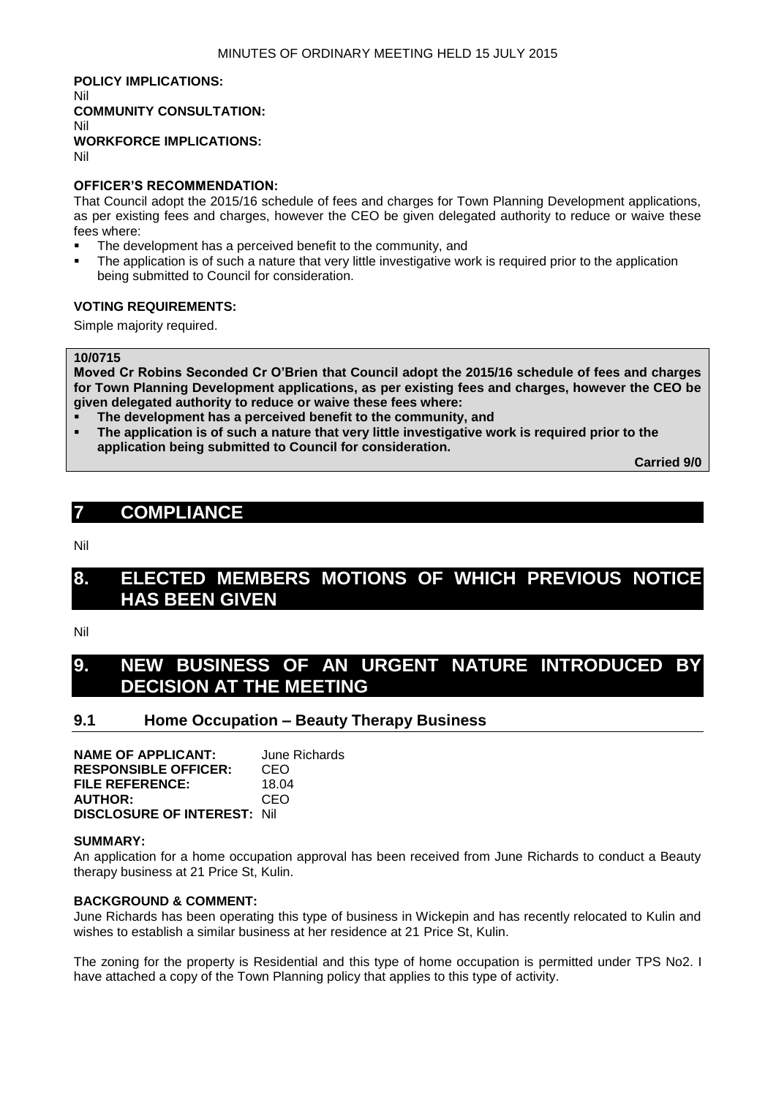**POLICY IMPLICATIONS:** Nil **COMMUNITY CONSULTATION:** Nil **WORKFORCE IMPLICATIONS:** Nil

#### **OFFICER'S RECOMMENDATION:**

That Council adopt the 2015/16 schedule of fees and charges for Town Planning Development applications, as per existing fees and charges, however the CEO be given delegated authority to reduce or waive these fees where:

- The development has a perceived benefit to the community, and
- The application is of such a nature that very little investigative work is required prior to the application being submitted to Council for consideration.

### **VOTING REQUIREMENTS:**

Simple majority required.

#### **10/0715**

**Moved Cr Robins Seconded Cr O'Brien that Council adopt the 2015/16 schedule of fees and charges for Town Planning Development applications, as per existing fees and charges, however the CEO be given delegated authority to reduce or waive these fees where:**

- **The development has a perceived benefit to the community, and**
- **The application is of such a nature that very little investigative work is required prior to the application being submitted to Council for consideration.**

**Carried 9/0**

## **7 COMPLIANCE**

Nil

## **8. ELECTED MEMBERS MOTIONS OF WHICH PREVIOUS NOTICE HAS BEEN GIVEN**

Nil

## **9. NEW BUSINESS OF AN URGENT NATURE INTRODUCED DECISION AT THE MEETING**

## **9.1 Home Occupation – Beauty Therapy Business**

**NAME OF APPLICANT:** June Richards **RESPONSIBLE OFFICER:** CEO **FILE REFERENCE:** 18.04 **AUTHOR:** CEO **DISCLOSURE OF INTEREST:** Nil

#### **SUMMARY:**

An application for a home occupation approval has been received from June Richards to conduct a Beauty therapy business at 21 Price St, Kulin.

#### **BACKGROUND & COMMENT:**

June Richards has been operating this type of business in Wickepin and has recently relocated to Kulin and wishes to establish a similar business at her residence at 21 Price St, Kulin.

The zoning for the property is Residential and this type of home occupation is permitted under TPS No2. I have attached a copy of the Town Planning policy that applies to this type of activity.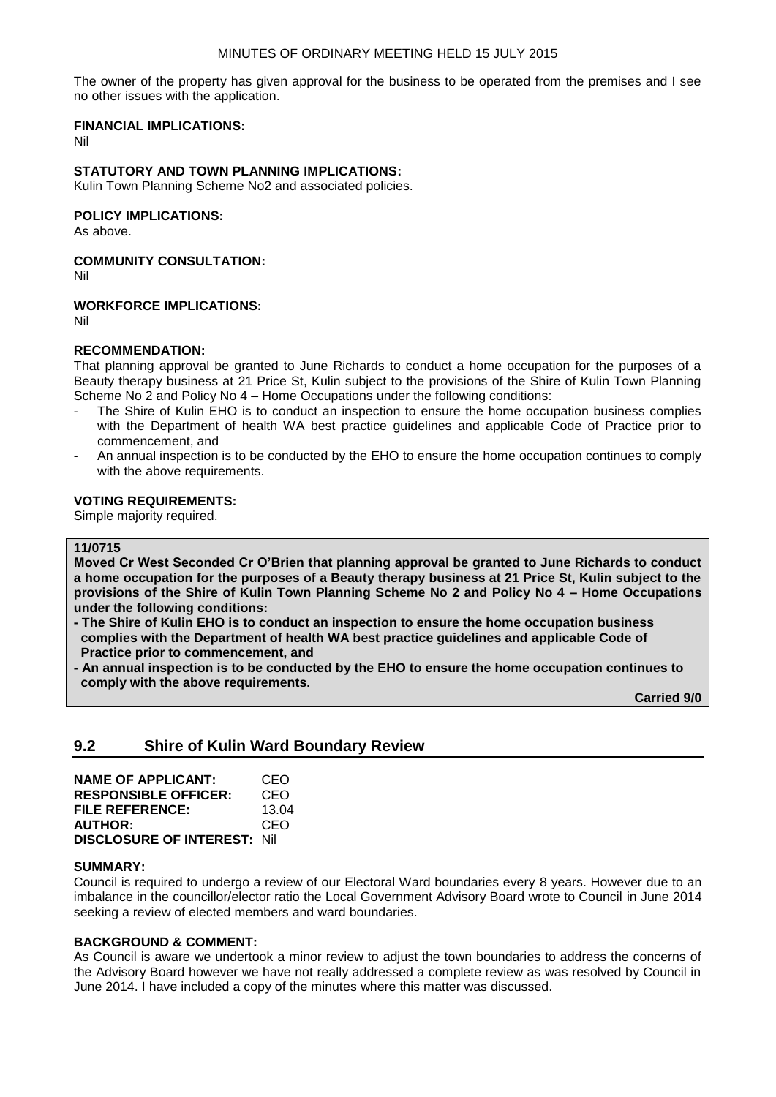The owner of the property has given approval for the business to be operated from the premises and I see no other issues with the application.

## **FINANCIAL IMPLICATIONS:**

Nil

## **STATUTORY AND TOWN PLANNING IMPLICATIONS:**

Kulin Town Planning Scheme No2 and associated policies.

### **POLICY IMPLICATIONS:**

As above.

#### **COMMUNITY CONSULTATION:**

Nil

## **WORKFORCE IMPLICATIONS:**

Nil

#### **RECOMMENDATION:**

That planning approval be granted to June Richards to conduct a home occupation for the purposes of a Beauty therapy business at 21 Price St, Kulin subject to the provisions of the Shire of Kulin Town Planning Scheme No 2 and Policy No 4 – Home Occupations under the following conditions:

- The Shire of Kulin EHO is to conduct an inspection to ensure the home occupation business complies with the Department of health WA best practice guidelines and applicable Code of Practice prior to commencement, and
- An annual inspection is to be conducted by the EHO to ensure the home occupation continues to comply with the above requirements.

#### **VOTING REQUIREMENTS:**

Simple majority required.

#### **11/0715**

**Moved Cr West Seconded Cr O'Brien that planning approval be granted to June Richards to conduct a home occupation for the purposes of a Beauty therapy business at 21 Price St, Kulin subject to the provisions of the Shire of Kulin Town Planning Scheme No 2 and Policy No 4 – Home Occupations under the following conditions:**

**- The Shire of Kulin EHO is to conduct an inspection to ensure the home occupation business complies with the Department of health WA best practice guidelines and applicable Code of Practice prior to commencement, and**

**- An annual inspection is to be conducted by the EHO to ensure the home occupation continues to comply with the above requirements.**

**Carried 9/0**

## **9.2 Shire of Kulin Ward Boundary Review**

| <b>NAME OF APPLICANT:</b>           | CEO   |
|-------------------------------------|-------|
| <b>RESPONSIBLE OFFICER:</b>         | CEO   |
| FILE REFERENCE:                     | 13.04 |
| <b>AUTHOR:</b>                      | CEO   |
| <b>DISCLOSURE OF INTEREST: Nill</b> |       |

#### **SUMMARY:**

Council is required to undergo a review of our Electoral Ward boundaries every 8 years. However due to an imbalance in the councillor/elector ratio the Local Government Advisory Board wrote to Council in June 2014 seeking a review of elected members and ward boundaries.

#### **BACKGROUND & COMMENT:**

As Council is aware we undertook a minor review to adjust the town boundaries to address the concerns of the Advisory Board however we have not really addressed a complete review as was resolved by Council in June 2014. I have included a copy of the minutes where this matter was discussed.